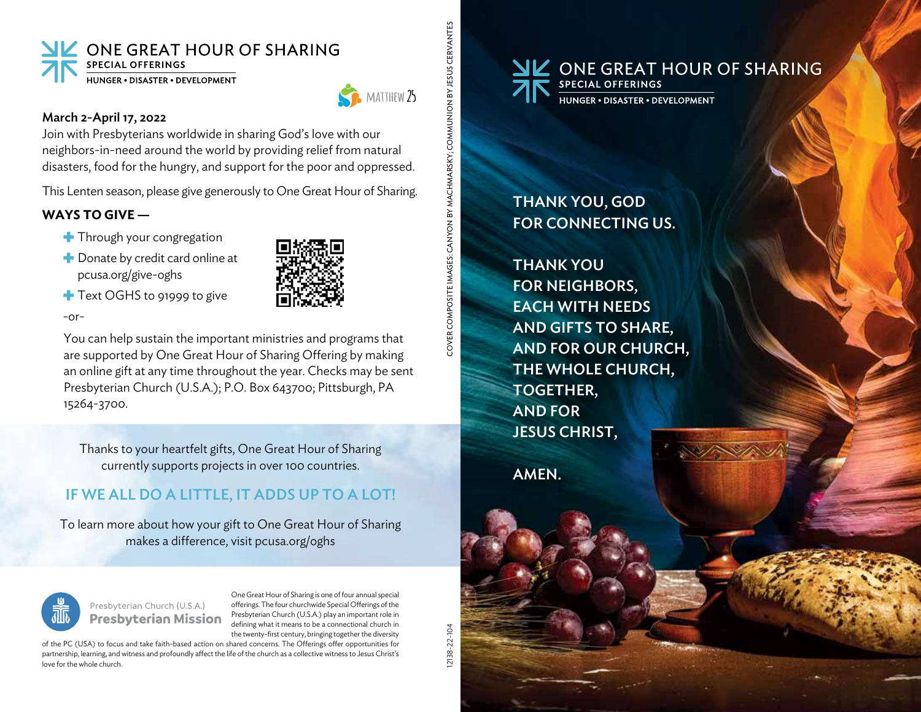



COVER COMPOSITE IMAGES: CANYON BY MACHMARSKY; COMMUNION BY JESUS CERVANTES

### March 2-April 17, 2022

Join with Presbyterians worldwide in sharing God's love with our neighbors-in-need around the world by providing relief from natural disasters, food for the hungry, and support for the poor and oppressed.

This Lenten season, please give generously to One Great Hour of Sharing.

# **WAYS TO GIVE —**

- Through your congregation
- Donate by credit card online at pcusa.org/give-oghs



Text OGHS to 91999 to give

 $-$ or-

 You can help sustain the important ministries and programs that are supported by One Great Hour of Sharing Offering by making an online gift at any time throughout the year. Checks may be sent Presbyterian Church (U.S.A.); P.O. Box 643700; Pittsburgh, PA 15264-3700.

Thanks to your heartfelt gifts, One Great Hour of Sharing currently supports projects in over 100 countries.

# IF WE ALL DO A LITTLE, IT ADDS UP TO A LOT!

To learn more about how your gift to One Great Hour of Sharing makes a difference, visit pcusa.org/oghs



Presbyterian Church (U.S.A.) **Presbyterian Mission** 

One Great Hour of Sharing is one of four annual special offerings. The four churchwide Special Offerings of the Presbyterian Church (U.S.A.) play an important role in defining what it means to be a connectional church in the twenty-first century, bringing together the diversity

of the PC (USA) to focus and take faith-based action on shared concerns. The Offerings offer opportunities for partnership, learning, and witness and profoundly affect the life of the church as a collective witness to Jesus Christ's love for the whole church.

12138-22-104 COVER COMPOSITE IMAGES: CANYON BY MACHMARSKY; COMMUNION BY JESUS CERVANTES 12138-22-104



THANK YOU, GOD FOR CONNECTING US.

THANK YOU FOR NEIGHBORS, EACH WITH NEEDS AND GIFTS TO SHARE, AND FOR OUR CHURCH, THE WHOLE CHURCH, TOGETHER, AND FOR JESUS CHRIST,

AMEN.